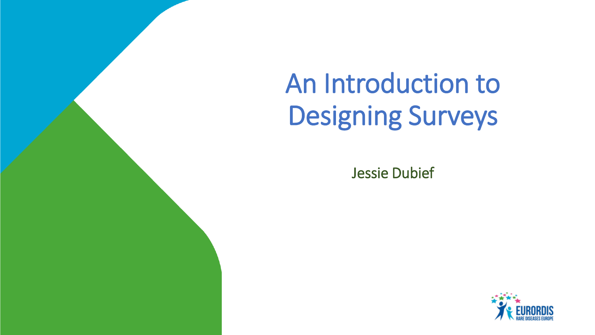# An Introduction to Designing Surveys

Jessie Dubief

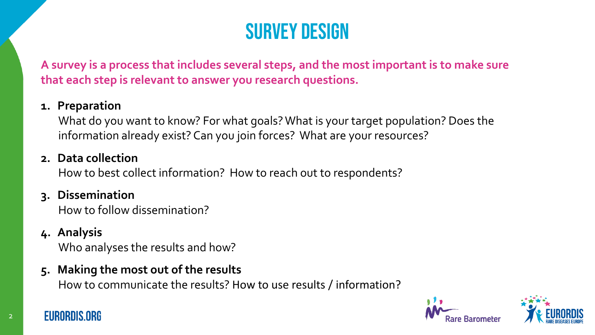# Survey design

**A survey is a process that includes several steps, and the most important is to make sure that each step is relevant to answer you research questions.**

### **1. Preparation**

What do you want to know? For what goals? What is your target population? Does the information already exist? Can you join forces? What are your resources?

# **2. Data collection**

How to best collect information? How to reach out to respondents?

# **3. Dissemination**

How to follow dissemination?

# **4. Analysis**

Who analyses the results and how?

# **5. Making the most out of the results**

How to communicate the results? How to use results / information?





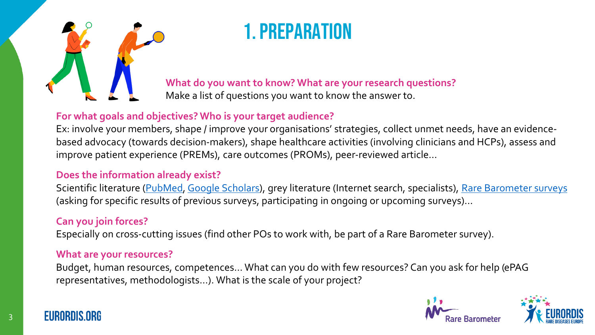

# 1. Preparation

**What do you want to know? What are your research questions?** 

Make a list of questions you want to know the answer to.

#### **For what goals and objectives? Who is your target audience?**

Ex: involve your members, shape / improve your organisations' strategies, collect unmet needs, have an evidencebased advocacy (towards decision-makers), shape healthcare activities (involving clinicians and HCPs), assess and improve patient experience (PREMs), care outcomes (PROMs), peer-reviewed article…

#### **Does the information already exist?**

Scientific literature ([PubMed](https://pubmed.ncbi.nlm.nih.gov/), [Google Scholars\)](https://scholar.google.com/), grey literature (Internet search, specialists), [Rare Barometer surveys](https://www.eurordis.org/voices/) (asking for specific results of previous surveys, participating in ongoing or upcoming surveys)…

#### **Can you join forces?**

Especially on cross-cutting issues (find other POs to work with, be part of a Rare Barometer survey).

#### **What are your resources?**

Budget, human resources, competences… What can you do with few resources? Can you ask for help (ePAG representatives, methodologists…). What is the scale of your project?





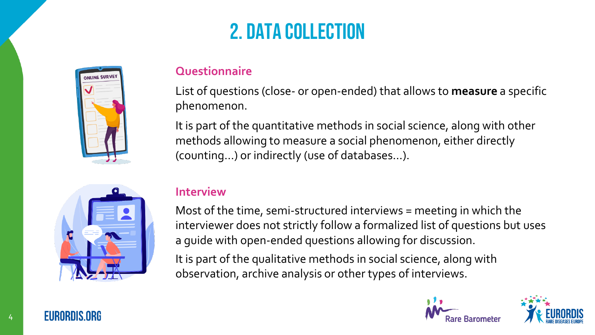# 2. Data collection



### **Questionnaire**

List of questions (close- or open-ended) that allows to **measure** a specific phenomenon.

It is part of the quantitative methods in social science, along with other methods allowing to measure a social phenomenon, either directly (counting…) or indirectly (use of databases…).



#### **Interview**

Most of the time, semi-structured interviews = meeting in which the interviewer does not strictly follow a formalized list of questions but uses a guide with open-ended questions allowing for discussion.

It is part of the qualitative methods in social science, along with observation, archive analysis or other types of interviews.





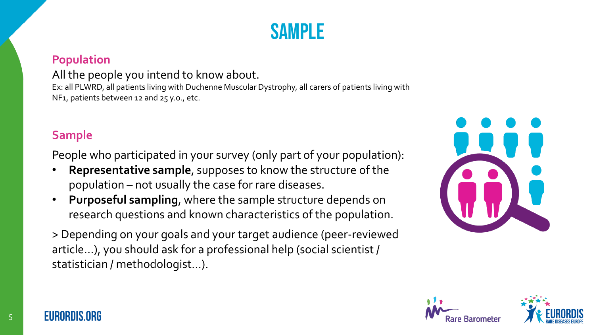# SAMPI F

### **Population**

#### All the people you intend to know about.

Ex: all PLWRD, all patients living with Duchenne Muscular Dystrophy, all carers of patients living with NF1, patients between 12 and 25 y.o., etc.

### **Sample**

People who participated in your survey (only part of your population):

- **Representative sample**, supposes to know the structure of the population – not usually the case for rare diseases.
- **Purposeful sampling**, where the sample structure depends on research questions and known characteristics of the population.
- > Depending on your goals and your target audience (peer-reviewed article…), you should ask for a professional help (social scientist / statistician / methodologist…).







**FURNEUS ORE**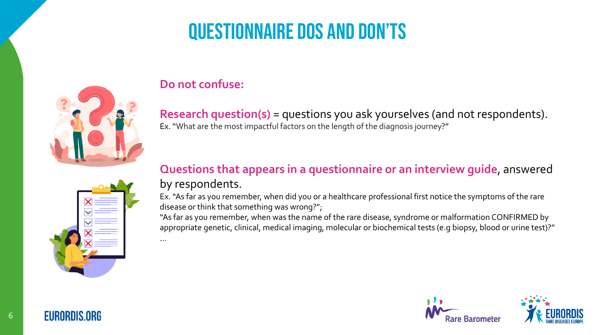# Questionnaire Dos and don'ts



### **Do not confuse:**

…

**Research question(s)** = questions you ask yourselves (and not respondents). Ex. "What are the most impactful factors on the length of the diagnosis journey?"

# **Questions that appears in a questionnaire or an interview guide**, answered by respondents.

Ex. "As far as you remember, when did you or a healthcare professional first notice the symptoms of the rare disease or think that something was wrong?";

"As far as you remember, when was the name of the rare disease, syndrome or malformation CONFIRMED by appropriate genetic, clinical, medical imaging, molecular or biochemical tests (e.g biopsy, blood or urine test)?"



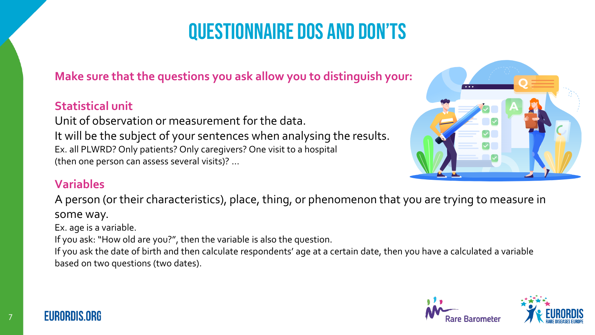# Questionnaire Dos and don'ts

# **Make sure that the questions you ask allow you to distinguish your:**

# **Statistical unit**

Unit of observation or measurement for the data. It will be the subject of your sentences when analysing the results. Ex. all PLWRD? Only patients? Only caregivers? One visit to a hospital (then one person can assess several visits)? …



### **Variables**

A person (or their characteristics), place, thing, or phenomenon that you are trying to measure in

some way.

Ex. age is a variable.

If you ask: "How old are you?", then the variable is also the question.

If you ask the date of birth and then calculate respondents' age at a certain date, then you have a calculated a variable based on two questions (two dates).





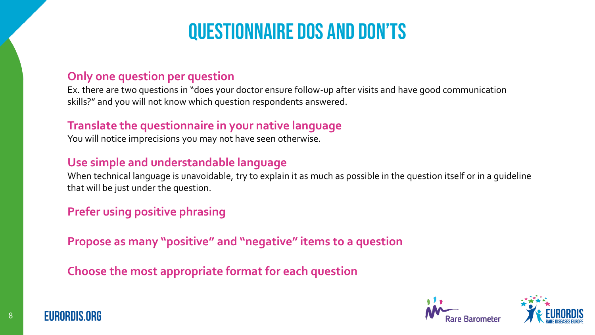# Questionnaire Dos and don'ts

### **Only one question per question**

Ex. there are two questions in "does your doctor ensure follow-up after visits and have good communication skills?" and you will not know which question respondents answered.

### **Translate the questionnaire in your native language**

You will notice imprecisions you may not have seen otherwise.

# **Use simple and understandable language**

When technical language is unavoidable, try to explain it as much as possible in the question itself or in a guideline that will be just under the question.

# **Prefer using positive phrasing**

**Propose as many "positive" and "negative" items to a question**

**Choose the most appropriate format for each question**





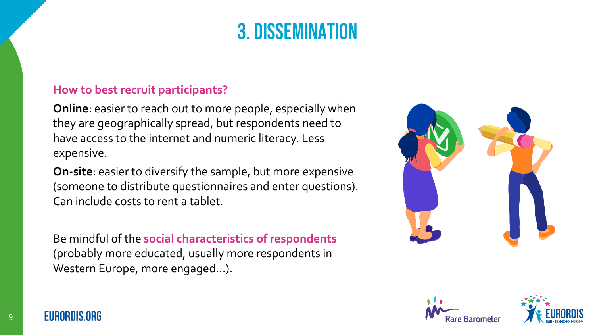# 3. Dissemination

### **How to best recruit participants?**

**Online**: easier to reach out to more people, especially when they are geographically spread, but respondents need to have access to the internet and numeric literacy. Less expensive.

**On-site**: easier to diversify the sample, but more expensive (someone to distribute questionnaires and enter questions). Can include costs to rent a tablet.

Be mindful of the **social characteristics of respondents**  (probably more educated, usually more respondents in Western Europe, more engaged…).







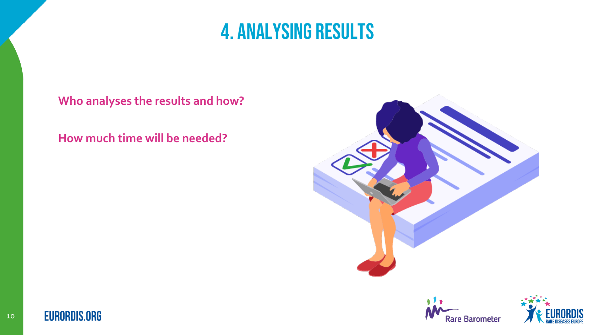# 4. Analysing results

**Who analyses the results and how?**

**How much time will be needed?**







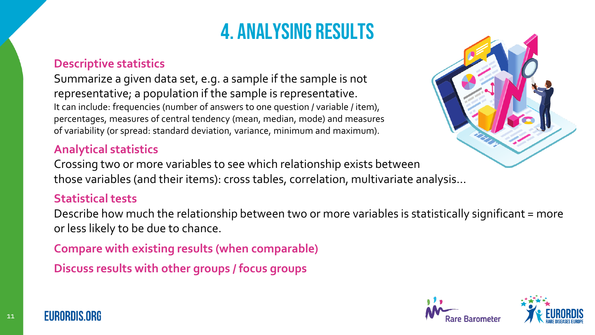# 4. Analysing results

#### **Descriptive statistics**

Summarize a given data set, e.g. a sample if the sample is not representative; a population if the sample is representative. It can include: frequencies (number of answers to one question / variable / item), percentages, measures of central tendency (mean, median, mode) and measures of variability (or spread: standard deviation, variance, minimum and maximum).

#### **Analytical statistics**

Crossing two or more variables to see which relationship exists between those variables (and their items): cross tables, correlation, multivariate analysis…

#### **Statistical tests**

Describe how much the relationship between two or more variables is statistically significant = more or less likely to be due to chance.

**Compare with existing results (when comparable)**

**Discuss results with other groups / focus groups**







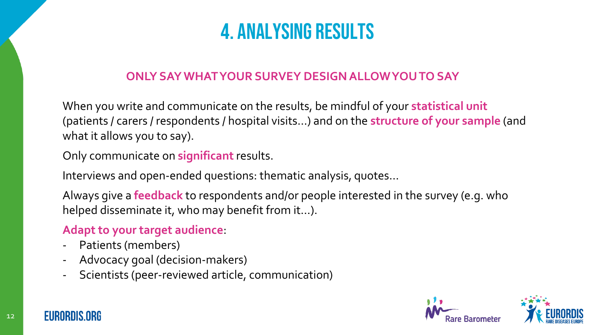# 4. Analysing results

# **ONLY SAY WHAT YOUR SURVEY DESIGN ALLOW YOU TO SAY**

When you write and communicate on the results, be mindful of your **statistical unit** (patients / carers / respondents / hospital visits…) and on the **structure of your sample** (and what it allows you to say).

Only communicate on **significant**results.

Interviews and open-ended questions: thematic analysis, quotes…

Always give a **feedback** to respondents and/or people interested in the survey (e.g. who helped disseminate it, who may benefit from it…).

# **Adapt to your target audience**:

- Patients (members)
- Advocacy goal (decision-makers)
- Scientists (peer-reviewed article, communication)



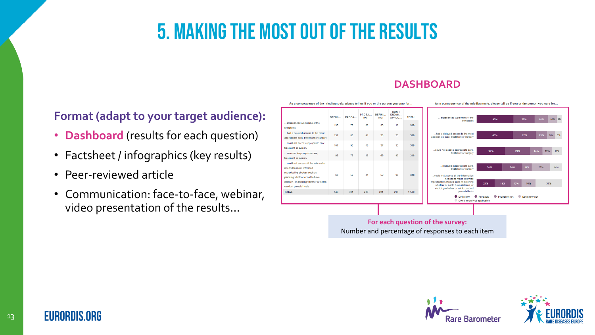#### **DASHBOARD**

**Format (adapt to your target audience):**

- **Dashboard** (results for each question)
- Factsheet / infographics (key results)
- Peer-reviewed article
- Communication: face-to-face, webinar, video presentation of the results…

| As a consequence of the misdiagnosis, please tell us if you or the person you care for                                                                                                                  |               |                                  |                     |                      |                                 |              | As a consequence of the misdiagnosis, please tell us if you or the person you care for                                                                                                                                                        |                                        |                          |                   |
|---------------------------------------------------------------------------------------------------------------------------------------------------------------------------------------------------------|---------------|----------------------------------|---------------------|----------------------|---------------------------------|--------------|-----------------------------------------------------------------------------------------------------------------------------------------------------------------------------------------------------------------------------------------------|----------------------------------------|--------------------------|-------------------|
|                                                                                                                                                                                                         | <b>DEFINI</b> | PROBA                            | PROBA<br><b>NOT</b> | DEFINI<br><b>NOT</b> | DON'T<br><b>KNOW/</b><br>APPLIC | <b>TOTAL</b> | experienced worsening of the                                                                                                                                                                                                                  | 43%                                    | 25%                      | 16%<br>10% 6%     |
| .experienced worsening of the<br>symptoms                                                                                                                                                               | 138           | 79                               | 50                  | 33                   | 18                              | 318          | symptoms                                                                                                                                                                                                                                      |                                        |                          |                   |
| had a delayed access to the most<br>appropriate care, treatment or surgery                                                                                                                              | 137           | 85                               | 41                  | 30                   | 25                              | 318          | had a delayed access to the most<br>appropriate care, treatment or surgery                                                                                                                                                                    | 43%                                    | 27%                      | 9%<br>13%<br>8%   |
| could not access appropriate care.<br>treatment or surgery                                                                                                                                              | 107           | 93                               | 46                  | 37                   | 35                              | 318          | could not access appropriate care.<br>treatment or surgery                                                                                                                                                                                    |                                        |                          |                   |
| received inappropriate care,<br>treatment or surgery                                                                                                                                                    | 96            | 75                               | 35                  | 69                   | 43                              | 318          |                                                                                                                                                                                                                                               | 34%                                    | 29%                      | 14%<br>12%<br>11% |
| could not access all the information<br>needed to make informed<br>reproductive choices such as<br>planning whether or not to have<br>children, or deciding whether or not to<br>conduct prenatal tests | 68            | 59                               | 41                  | 52                   | 98                              | 318          | received inappropriate care,<br>treatment or surgery<br>could not access all the information<br>needed to make informed<br>reproductive choices such as planning<br>whether or not to have children, or<br>deciding whether or not to conduct | 30%<br>21%<br>19%                      | 11%<br>24%<br>13%<br>16% | 22%<br>14%<br>31% |
| <b>TOTAL</b>                                                                                                                                                                                            | 546           | 391                              | 213                 | 221                  | 219                             | 1.590        | prenatal tests<br><b>O</b> Definitely<br>Don't know/Not applicable                                                                                                                                                                            | <b>Probably</b><br><b>Probably not</b> | Definitely not           |                   |
|                                                                                                                                                                                                         |               |                                  |                     |                      |                                 |              |                                                                                                                                                                                                                                               |                                        |                          |                   |
|                                                                                                                                                                                                         |               | For each question of the survey: |                     |                      |                                 |              |                                                                                                                                                                                                                                               |                                        |                          |                   |

Number and percentage of responses to each item





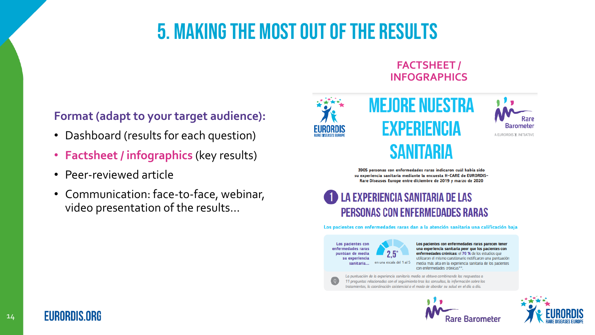#### **FACTSHEET / INFOGRAPHICS**



A EURORDIS TĂ. INITIATIVE

# SANITARIA

**MEJORE NUESTRA** 

EXPERIENCIA

3905 personas con enfermedades raras indicaron cuál había sido su experiencia sanitaria mediante la encuesta H-CARE de EURORDIS-Rare Diseases Europe entre diciembre de 2019 y marzo de 2020

# **LA EXPERIENCIA SANITARIA DE LAS PERSONAS CON ENFERMEDADES RARAS**

Los pacientes con enfermedades raras dan a la atención sanitaria una calificación baja

Los pacientes con enfermedades raras puntúan de media su experiencia sanitaria...

en una escala del

Los pacientes con enfermedades raras parecen tener una experiencia sanitaria peor que los pacientes con enfermedades crónicas: el 70 % de los estudios que utilizaron el mismo cuestionario notificaron una puntuación media más alta en la experiencia sanitaria de los pacientes con enfermedades crónicas\*\*

La puntuación de la experiencia sanitaria media se obtuvo combinando las respuestas a 11 preguntas relacionadas con el seguimiento tras las consultas, la información sobre los tratamientos, la coordinación asistencial o el modo de abordar su salud en el día a día.





# **Format (adapt to your target audience):**

- Dashboard (results for each question)
- **Factsheet / infographics** (key results)
- Peer-reviewed article
- Communication: face-to-face, webinar, video presentation of the results…

**EURORDIS.ORG**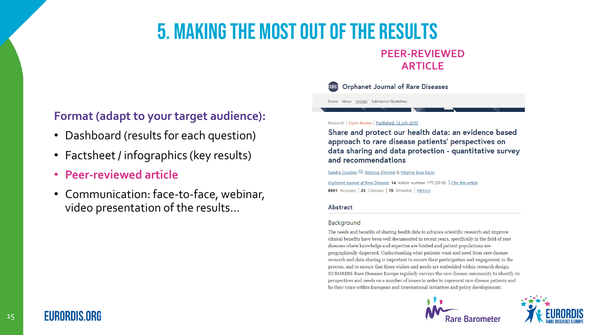#### **PEER-REVIEWED ARTICLE**

#### **Format (adapt to your target audience):**

- Dashboard (results for each question)
- Factsheet / infographics (key results)
- **Peer-reviewed article**
- Communication: face-to-face, webinar, video presentation of the results…

#### Research | Open Access | Published: 12 July 2019

Home About Articles Submission Guideline

**Orphanet Journal of Rare Diseases** 

Share and protect our health data: an evidence based approach to rare disease patients' perspectives on data sharing and data protection - quantitative survey and recommendations

Sandra Courbier<sup>∞</sup>, Rebecca Dimond & Virginie Bros-Facer

Orphanet Journal of Rare Diseases 14, Article number: 175 (2019) Cite this article 8991 Accesses | 25 Citations | 70 Altmetric | Metrics

#### Abstract

#### Background

The needs and benefits of sharing health data to advance scientific research and improve clinical benefits have been well documented in recent years, specifically in the field of rare diseases where knowledge and expertise are limited and patient populations are geographically dispersed. Understanding what patients want and need from rare disease research and data sharing is important to ensure their participation and engagement in the process, and to ensure that these wishes and needs are embedded within research design. EURORDIS-Rare Diseases Europe regularly surveys the rare disease community to identify its perspectives and needs on a number of issues in order to represent rare disease patients and be their voice within European and International initiatives and policy developments.





# **EURORDIS.ORG**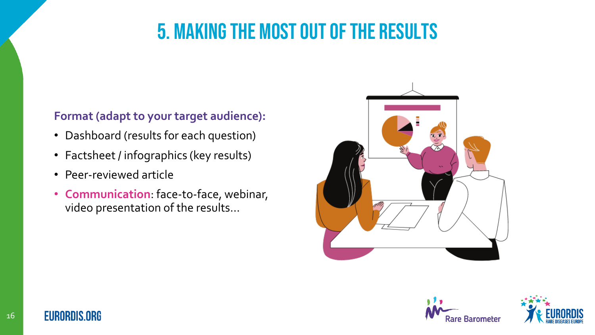# **Format (adapt to your target audience):**

- Dashboard (results for each question)
- Factsheet / infographics (key results)
- Peer-reviewed article
- **Communication**: face-to-face, webinar, video presentation of the results…